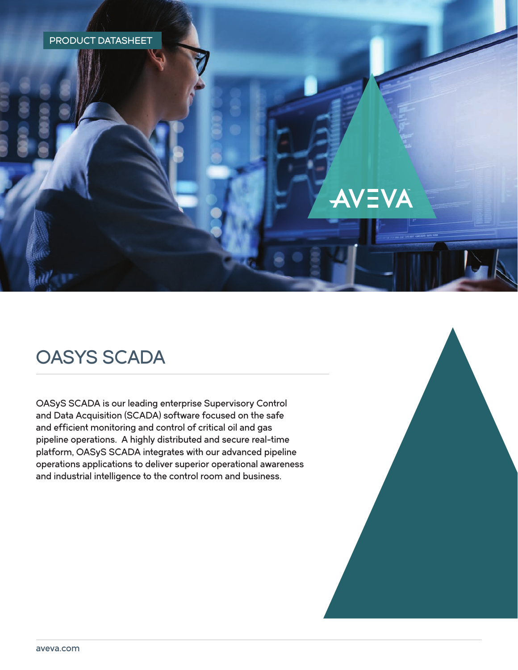### PRODUCT DATASHEET

# OASYS SCADA

OASyS SCADA is our leading enterprise Supervisory Control and Data Acquisition (SCADA) software focused on the safe and efficient monitoring and control of critical oil and gas pipeline operations. A highly distributed and secure real-time platform, OASyS SCADA integrates with our advanced pipeline operations applications to deliver superior operational awareness and industrial intelligence to the control room and business.



AVEVA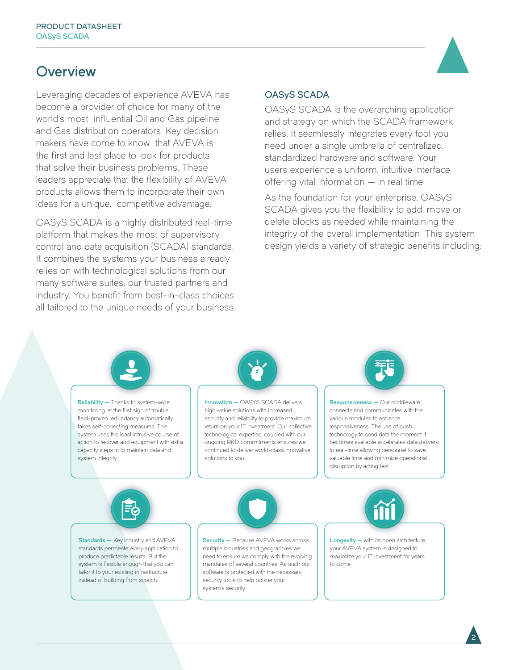## **Overview**

Leveraging decades of experience AVEVA has become a provider of choice for many of the world's most influential Oil and Gas pipeline and Gas distribution operators. Key decision makers have come to know that AVEVA is the first and last place to look for products that solve their business problems. These leaders appreciate that the flexibility of AVEVA products allows them to incorporate their own ideas for a unique, competitive advantage.

OASyS SCADA is a highly distributed real-time platform that makes the most of supervisory control and data acquisition (SCADA) standards. It combines the systems your business already relies on with technological solutions from our many software suites, our trusted partners and industry. You benefit from best-in-class choices all tailored to the unique needs of your business.

### OASyS SCADA

OASyS SCADA is the overarching application and strategy on which the SCADA framework relies. It seamlessly integrates every tool you need under a single umbrella of centralized, standardized hardware and software. Your users experience a uniform, intuitive interface offering vital information — in real time.

As the foundation for your enterprise, OASyS SCADA gives you the flexibility to add, move or delete blocks as needed while maintaining the integrity of the overall implementation. This system design yields a variety of strategic benefits including:

2